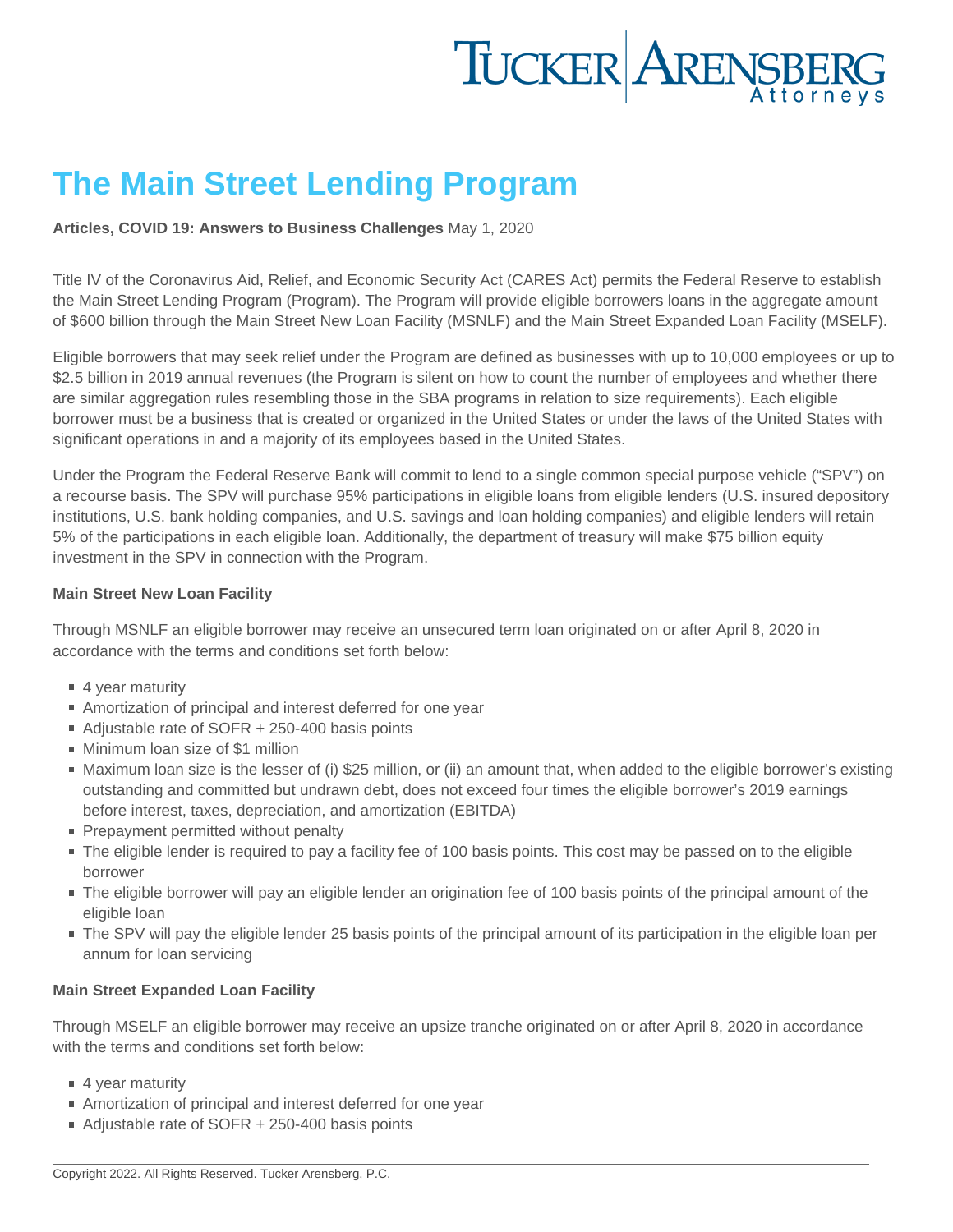## The Main Street Lending Program

[Articles](https://www.tuckerlaw.com/category/articles/) , [COVID 19: Answers to Business Challenges](https://www.tuckerlaw.com/category/covid-19-answers-to-business-challenges/) May 1, 2020

Title IV of the Coronavirus Aid, Relief, and Economic Security Act (CARES Act) permits the Federal Reserve to establish the Main Street Lending Program (Program). The Program will provide eligible borrowers loans in the aggregate amount of \$600 billion through the Main Street New Loan Facility (MSNLF) and the Main Street Expanded Loan Facility (MSELF).

Eligible borrowers that may seek relief under the Program are defined as businesses with up to 10,000 employees or up to \$2.5 billion in 2019 annual revenues (the Program is silent on how to count the number of employees and whether there are similar aggregation rules resembling those in the SBA programs in relation to size requirements). Each eligible borrower must be a business that is created or organized in the United States or under the laws of the United States with significant operations in and a majority of its employees based in the United States.

Under the Program the Federal Reserve Bank will commit to lend to a single common special purpose vehicle ("SPV") on a recourse basis. The SPV will purchase 95% participations in eligible loans from eligible lenders (U.S. insured depository institutions, U.S. bank holding companies, and U.S. savings and loan holding companies) and eligible lenders will retain 5% of the participations in each eligible loan. Additionally, the department of treasury will make \$75 billion equity investment in the SPV in connection with the Program.

### Main Street New Loan Facility

Through MSNLF an eligible borrower may receive an unsecured term loan originated on or after April 8, 2020 in accordance with the terms and conditions set forth below:

- 4 year maturity
- Amortization of principal and interest deferred for one year
- Adjustable rate of SOFR + 250-400 basis points
- Minimum loan size of \$1 million
- Maximum loan size is the lesser of (i) \$25 million, or (ii) an amount that, when added to the eligible borrower's existing outstanding and committed but undrawn debt, does not exceed four times the eligible borrower's 2019 earnings before interest, taxes, depreciation, and amortization (EBITDA)
- Prepayment permitted without penalty
- The eligible lender is required to pay a facility fee of 100 basis points. This cost may be passed on to the eligible borrower
- The eligible borrower will pay an eligible lender an origination fee of 100 basis points of the principal amount of the eligible loan
- The SPV will pay the eligible lender 25 basis points of the principal amount of its participation in the eligible loan per annum for loan servicing

### Main Street Expanded Loan Facility

Through MSELF an eligible borrower may receive an upsize tranche originated on or after April 8, 2020 in accordance with the terms and conditions set forth below:

- 4 year maturity
- Amortization of principal and interest deferred for one year
- Adjustable rate of SOFR + 250-400 basis points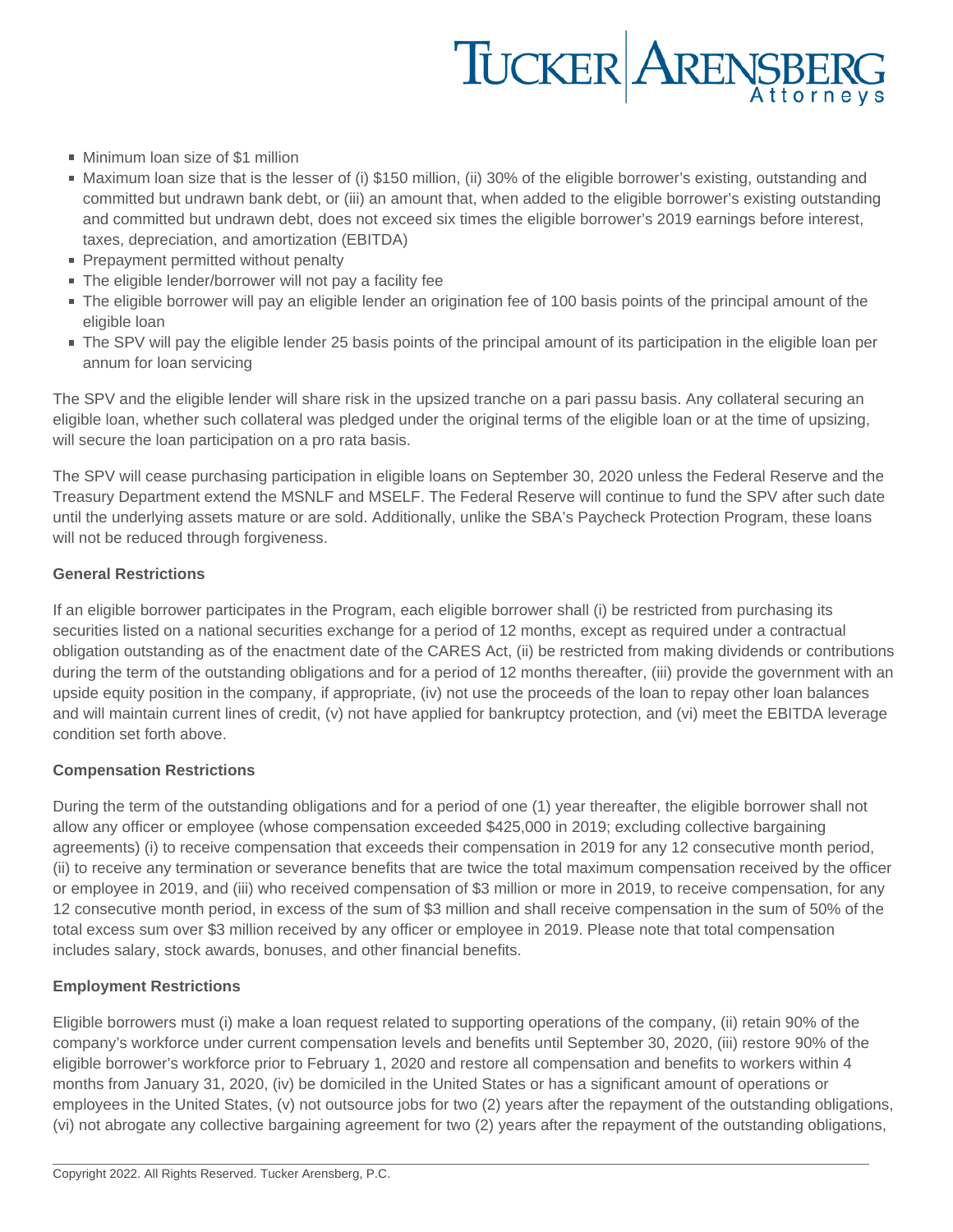# TUCKER ARENSBERG

- **Minimum loan size of \$1 million**
- Maximum loan size that is the lesser of (i) \$150 million, (ii) 30% of the eligible borrower's existing, outstanding and committed but undrawn bank debt, or (iii) an amount that, when added to the eligible borrower's existing outstanding and committed but undrawn debt, does not exceed six times the eligible borrower's 2019 earnings before interest, taxes, depreciation, and amortization (EBITDA)
- Prepayment permitted without penalty
- The eligible lender/borrower will not pay a facility fee
- The eligible borrower will pay an eligible lender an origination fee of 100 basis points of the principal amount of the eligible loan
- The SPV will pay the eligible lender 25 basis points of the principal amount of its participation in the eligible loan per annum for loan servicing

The SPV and the eligible lender will share risk in the upsized tranche on a pari passu basis. Any collateral securing an eligible loan, whether such collateral was pledged under the original terms of the eligible loan or at the time of upsizing, will secure the loan participation on a pro rata basis.

The SPV will cease purchasing participation in eligible loans on September 30, 2020 unless the Federal Reserve and the Treasury Department extend the MSNLF and MSELF. The Federal Reserve will continue to fund the SPV after such date until the underlying assets mature or are sold. Additionally, unlike the SBA's Paycheck Protection Program, these loans will not be reduced through forgiveness.

### **General Restrictions**

If an eligible borrower participates in the Program, each eligible borrower shall (i) be restricted from purchasing its securities listed on a national securities exchange for a period of 12 months, except as required under a contractual obligation outstanding as of the enactment date of the CARES Act, (ii) be restricted from making dividends or contributions during the term of the outstanding obligations and for a period of 12 months thereafter, (iii) provide the government with an upside equity position in the company, if appropriate, (iv) not use the proceeds of the loan to repay other loan balances and will maintain current lines of credit, (v) not have applied for bankruptcy protection, and (vi) meet the EBITDA leverage condition set forth above.

### **Compensation Restrictions**

During the term of the outstanding obligations and for a period of one (1) year thereafter, the eligible borrower shall not allow any officer or employee (whose compensation exceeded \$425,000 in 2019; excluding collective bargaining agreements) (i) to receive compensation that exceeds their compensation in 2019 for any 12 consecutive month period, (ii) to receive any termination or severance benefits that are twice the total maximum compensation received by the officer or employee in 2019, and (iii) who received compensation of \$3 million or more in 2019, to receive compensation, for any 12 consecutive month period, in excess of the sum of \$3 million and shall receive compensation in the sum of 50% of the total excess sum over \$3 million received by any officer or employee in 2019. Please note that total compensation includes salary, stock awards, bonuses, and other financial benefits.

#### **Employment Restrictions**

Eligible borrowers must (i) make a loan request related to supporting operations of the company, (ii) retain 90% of the company's workforce under current compensation levels and benefits until September 30, 2020, (iii) restore 90% of the eligible borrower's workforce prior to February 1, 2020 and restore all compensation and benefits to workers within 4 months from January 31, 2020, (iv) be domiciled in the United States or has a significant amount of operations or employees in the United States, (v) not outsource jobs for two (2) years after the repayment of the outstanding obligations, (vi) not abrogate any collective bargaining agreement for two (2) years after the repayment of the outstanding obligations,